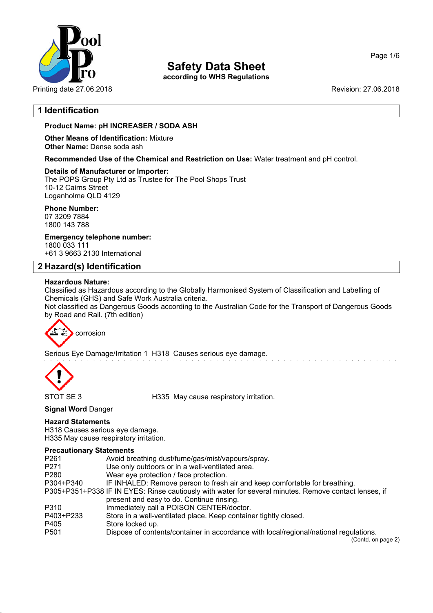

**according to WHS Regulations**

Printing date 27.06.2018 **Revision: 27.06.2018** Revision: 27.06.2018

## **1 Identification**

## **Product Name: pH INCREASER / SODA ASH**

**Other Means of Identification:** Mixture **Other Name:** Dense soda ash

**Recommended Use of the Chemical and Restriction on Use:** Water treatment and pH control.

#### **Details of Manufacturer or Importer:**

The POPS Group Pty Ltd as Trustee for The Pool Shops Trust 10-12 Cairns Street Loganholme QLD 4129

**Phone Number:**

07 3209 7884 1800 143 788

**Emergency telephone number:** 1800 033 111

+61 3 9663 2130 International

## **2 Hazard(s) Identification**

#### **Hazardous Nature:**

Classified as Hazardous according to the Globally Harmonised System of Classification and Labelling of Chemicals (GHS) and Safe Work Australia criteria.

Not classified as Dangerous Goods according to the Australian Code for the Transport of Dangerous Goods by Road and Rail. (7th edition)

corrosion

Serious Eye Damage/Irritation 1 H318 Causes serious eye damage.



STOT SE 3 H335 May cause respiratory irritation.

## **Signal Word** Danger

#### **Hazard Statements**

H318 Causes serious eye damage. H335 May cause respiratory irritation.

#### **Precautionary Statements**

| P261      | Avoid breathing dust/fume/gas/mist/vapours/spray.                                                                                                  |
|-----------|----------------------------------------------------------------------------------------------------------------------------------------------------|
| P271      | Use only outdoors or in a well-ventilated area.                                                                                                    |
| P280      | Wear eye protection / face protection.                                                                                                             |
| P304+P340 | IF INHALED: Remove person to fresh air and keep comfortable for breathing.                                                                         |
|           | P305+P351+P338 IF IN EYES: Rinse cautiously with water for several minutes. Remove contact lenses, if<br>present and easy to do. Continue rinsing. |
| P310      | Immediately call a POISON CENTER/doctor.                                                                                                           |
| P403+P233 | Store in a well-ventilated place. Keep container tightly closed.                                                                                   |
| P405      | Store locked up.                                                                                                                                   |
| P501      | Dispose of contents/container in accordance with local/regional/national regulations.                                                              |
|           | (Contd. on page 2)                                                                                                                                 |

Page 1/6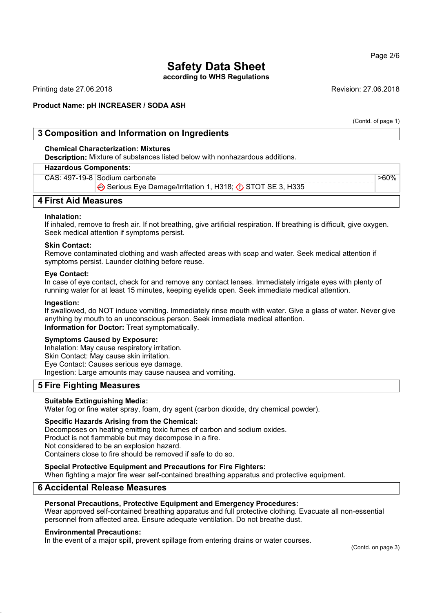**according to WHS Regulations**

Printing date 27.06.2018 **Revision: 27.06.2018** Revision: 27.06.2018

#### **Product Name: pH INCREASER / SODA ASH**

(Contd. of page 1)

>60%

## **3 Composition and Information on Ingredients**

#### **Chemical Characterization: Mixtures**

**Description:** Mixture of substances listed below with nonhazardous additions.

#### **Hazardous Components:**

CAS: 497-19-8 Sodium carbonate

Serious Eye Damage/Irritation 1, H318;  $\Diamond$  STOT SE 3, H335

## **4 First Aid Measures**

#### **Inhalation:**

If inhaled, remove to fresh air. If not breathing, give artificial respiration. If breathing is difficult, give oxygen. Seek medical attention if symptoms persist.

#### **Skin Contact:**

Remove contaminated clothing and wash affected areas with soap and water. Seek medical attention if symptoms persist. Launder clothing before reuse.

#### **Eye Contact:**

In case of eye contact, check for and remove any contact lenses. Immediately irrigate eyes with plenty of running water for at least 15 minutes, keeping eyelids open. Seek immediate medical attention.

#### **Ingestion:**

If swallowed, do NOT induce vomiting. Immediately rinse mouth with water. Give a glass of water. Never give anything by mouth to an unconscious person. Seek immediate medical attention. **Information for Doctor:** Treat symptomatically.

#### **Symptoms Caused by Exposure:**

Inhalation: May cause respiratory irritation. Skin Contact: May cause skin irritation. Eye Contact: Causes serious eye damage. Ingestion: Large amounts may cause nausea and vomiting.

## **5 Fire Fighting Measures**

#### **Suitable Extinguishing Media:**

Water fog or fine water spray, foam, dry agent (carbon dioxide, dry chemical powder).

#### **Specific Hazards Arising from the Chemical:**

Decomposes on heating emitting toxic fumes of carbon and sodium oxides. Product is not flammable but may decompose in a fire. Not considered to be an explosion hazard. Containers close to fire should be removed if safe to do so.

#### **Special Protective Equipment and Precautions for Fire Fighters:**

When fighting a major fire wear self-contained breathing apparatus and protective equipment.

## **6 Accidental Release Measures**

#### **Personal Precautions, Protective Equipment and Emergency Procedures:**

Wear approved self-contained breathing apparatus and full protective clothing. Evacuate all non-essential personnel from affected area. Ensure adequate ventilation. Do not breathe dust.

#### **Environmental Precautions:**

In the event of a major spill, prevent spillage from entering drains or water courses.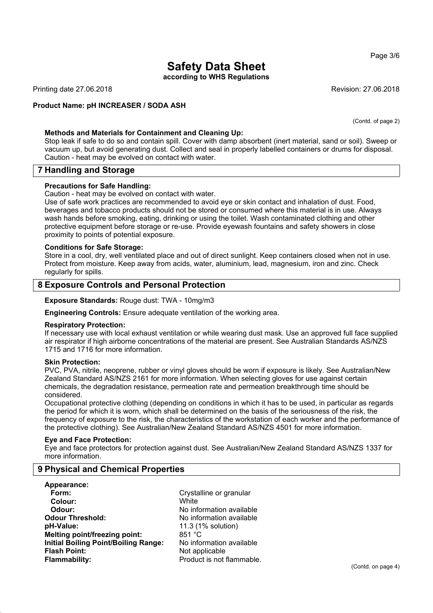### Page 3/6

# **Safety Data Sheet**

**according to WHS Regulations**

Printing date 27.06.2018 **Revision: 27.06.2018** Revision: 27.06.2018

#### **Product Name: pH INCREASER / SODA ASH**

(Contd. of page 2)

#### **Methods and Materials for Containment and Cleaning Up:**

Stop leak if safe to do so and contain spill. Cover with damp absorbent (inert material, sand or soil). Sweep or vacuum up, but avoid generating dust. Collect and seal in properly labelled containers or drums for disposal. Caution - heat may be evolved on contact with water.

## **7 Handling and Storage**

#### **Precautions for Safe Handling:**

Caution - heat may be evolved on contact with water.

Use of safe work practices are recommended to avoid eye or skin contact and inhalation of dust. Food, beverages and tobacco products should not be stored or consumed where this material is in use. Always wash hands before smoking, eating, drinking or using the toilet. Wash contaminated clothing and other protective equipment before storage or re-use. Provide eyewash fountains and safety showers in close proximity to points of potential exposure.

#### **Conditions for Safe Storage:**

Store in a cool, dry, well ventilated place and out of direct sunlight. Keep containers closed when not in use. Protect from moisture. Keep away from acids, water, aluminium, lead, magnesium, iron and zinc. Check regularly for spills.

## **8 Exposure Controls and Personal Protection**

**Exposure Standards:** Rouge dust: TWA - 10mg/m3

**Engineering Controls:** Ensure adequate ventilation of the working area.

#### **Respiratory Protection:**

If necessary use with local exhaust ventilation or while wearing dust mask. Use an approved full face supplied air respirator if high airborne concentrations of the material are present. See Australian Standards AS/NZS 1715 and 1716 for more information.

#### **Skin Protection:**

PVC, PVA, nitrile, neoprene, rubber or vinyl gloves should be worn if exposure is likely. See Australian/New Zealand Standard AS/NZS 2161 for more information. When selecting gloves for use against certain chemicals, the degradation resistance, permeation rate and permeation breakthrough time should be considered.

Occupational protective clothing (depending on conditions in which it has to be used, in particular as regards the period for which it is worn, which shall be determined on the basis of the seriousness of the risk, the frequency of exposure to the risk, the characteristics of the workstation of each worker and the performance of the protective clothing). See Australian/New Zealand Standard AS/NZS 4501 for more information.

#### **Eye and Face Protection:**

Eye and face protectors for protection against dust. See Australian/New Zealand Standard AS/NZS 1337 for more information.

## **9 Physical and Chemical Properties**

**Appearance: Form:** Crystalline or granular **Colour:** White **Odour:** No information available **Odour Threshold:** No information available **pH-Value:** 11.3 (1% solution)<br>**Melting point/freezing point:** 251 °C **Melting point/freezing point: Initial Boiling Point/Boiling Range:** No information available **Flash Point:** Not applicable **Flammability:** Product is not flammable.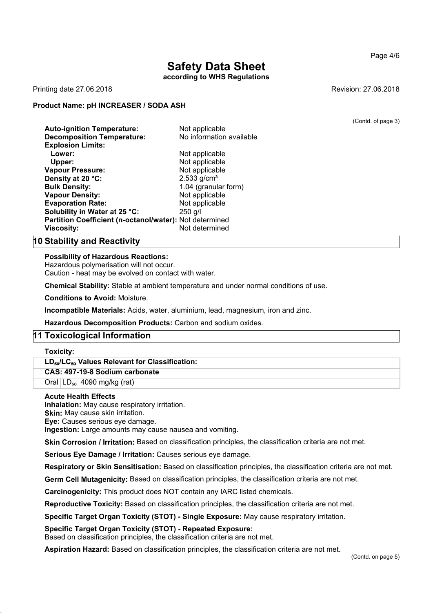## **Safety Data Sheet according to WHS Regulations**

Printing date 27.06.2018 **Revision: 27.06.2018** Revision: 27.06.2018

#### **Product Name: pH INCREASER / SODA ASH**

**Auto-ignition Temperature:** Not applicable **Decomposition Temperature:** No information available **Explosion Limits: Lower:** Not applicable **Upper:** Not applicable **Vapour Pressure:** Not applicable **Density at 20 °C:** 2.533 g/cm<sup>3</sup> **Bulk Density:** 1.04 (granular form) **Vapour Density:** Not applicable **Evaporation Rate:** Not applicable **Solubility in Water at 25 °C:** 250 g/l **Partition Coefficient (n-octanol/water):** Not determined **Viscosity:** Not determined

**10 Stability and Reactivity**

#### **Possibility of Hazardous Reactions:**

Hazardous polymerisation will not occur. Caution - heat may be evolved on contact with water.

**Chemical Stability:** Stable at ambient temperature and under normal conditions of use.

**Conditions to Avoid:** Moisture.

**Incompatible Materials:** Acids, water, aluminium, lead, magnesium, iron and zinc.

**Hazardous Decomposition Products:** Carbon and sodium oxides.

## **11 Toxicological Information**

#### **Toxicity:**

#### **LD**₅₀**/LC**₅₀ **Values Relevant for Classification:**

**CAS: 497-19-8 Sodium carbonate**

Oral  $|LD_{50}|$  4090 mg/kg (rat)

#### **Acute Health Effects**

**Inhalation:** May cause respiratory irritation.

**Skin:** May cause skin irritation. **Eye:** Causes serious eye damage.

**Ingestion:** Large amounts may cause nausea and vomiting.

**Skin Corrosion / Irritation:** Based on classification principles, the classification criteria are not met.

**Serious Eye Damage / Irritation:** Causes serious eye damage.

**Respiratory or Skin Sensitisation:** Based on classification principles, the classification criteria are not met.

**Germ Cell Mutagenicity:** Based on classification principles, the classification criteria are not met.

**Carcinogenicity:** This product does NOT contain any IARC listed chemicals.

**Reproductive Toxicity:** Based on classification principles, the classification criteria are not met.

**Specific Target Organ Toxicity (STOT) - Single Exposure:** May cause respiratory irritation.

#### **Specific Target Organ Toxicity (STOT) - Repeated Exposure:**

Based on classification principles, the classification criteria are not met.

**Aspiration Hazard:** Based on classification principles, the classification criteria are not met.

(Contd. on page 5)

(Contd. of page 3)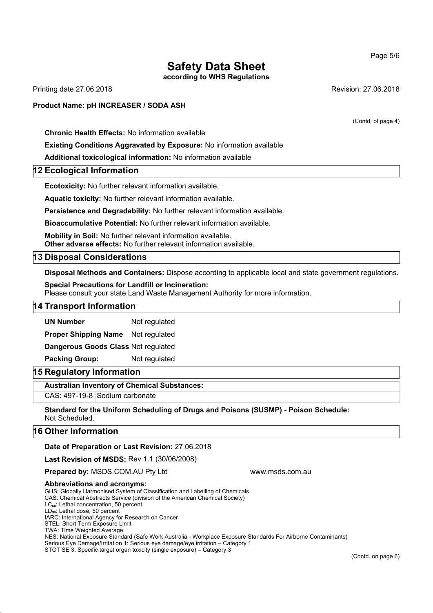**according to WHS Regulations**

Printing date 27.06.2018 **Revision: 27.06.2018** Revision: 27.06.2018

## **Product Name: pH INCREASER / SODA ASH**

**Chronic Health Effects:** No information available

#### **Existing Conditions Aggravated by Exposure:** No information available

**Additional toxicological information:** No information available

#### **12 Ecological Information**

**Ecotoxicity:** No further relevant information available.

**Aquatic toxicity:** No further relevant information available.

**Persistence and Degradability:** No further relevant information available.

**Bioaccumulative Potential:** No further relevant information available.

**Mobility in Soil:** No further relevant information available. **Other adverse effects:** No further relevant information available.

#### **13 Disposal Considerations**

**Disposal Methods and Containers:** Dispose according to applicable local and state government regulations.

**Special Precautions for Landfill or Incineration:** Please consult your state Land Waste Management Authority for more information.

### **14 Transport Information**

**UN Number** Not regulated

**Proper Shipping Name** Not regulated

**Dangerous Goods Class** Not regulated

**Packing Group:** Not regulated

## **15 Regulatory Information**

**Australian Inventory of Chemical Substances:**

CAS: 497-19-8 Sodium carbonate

**Standard for the Uniform Scheduling of Drugs and Poisons (SUSMP) - Poison Schedule:** Not Scheduled.

#### **16 Other Information**

#### **Date of Preparation or Last Revision:** 27.06.2018

**Last Revision of MSDS:** Rev 1.1 (30/06/2008)

**Prepared by: MSDS.COM.AU Pty Ltd www.msds.com.au** 

#### **Abbreviations and acronyms:**

GHS: Globally Harmonised System of Classification and Labelling of Chemicals

CAS: Chemical Abstracts Service (division of the American Chemical Society)

LC<sub>50</sub>: Lethal concentration, 50 percent LD<sub>50</sub>: Lethal dose, 50 percent

IARC: International Agency for Research on Cancer

STEL: Short Term Exposure Limit

TWA: Time Weighted Average

NES: National Exposure Standard (Safe Work Australia - Workplace Exposure Standards For Airborne Contaminants)

Serious Eye Damage/Irritation 1: Serious eye damage/eye irritation – Category 1

STOT SE 3: Specific target organ toxicity (single exposure) – Category 3

(Contd. of page 4)

Page 5/6

(Contd. on page 6)